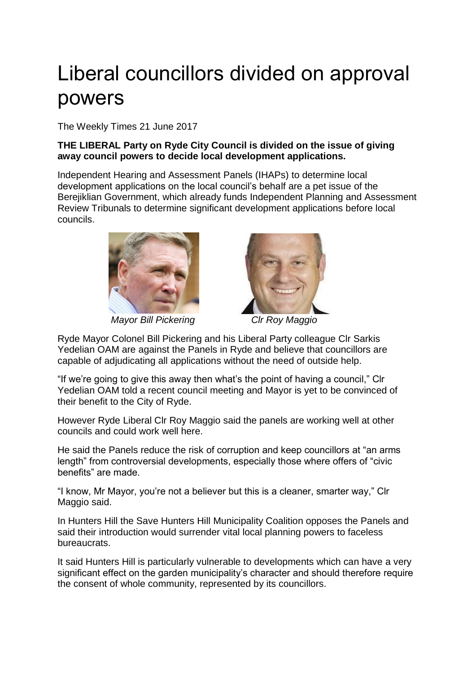## Liberal councillors divided on approval powers

The Weekly Times 21 June 2017

## **THE LIBERAL Party on Ryde City Council is divided on the issue of giving away council powers to decide local development applications.**

Independent Hearing and Assessment Panels (IHAPs) to determine local development applications on the local council's behalf are a pet issue of the Berejiklian Government, which already funds Independent Planning and Assessment Review Tribunals to determine significant development applications before local councils.



 *Mayor Bill Pickering Clr Roy Maggio*



Ryde Mayor Colonel Bill Pickering and his Liberal Party colleague Clr Sarkis Yedelian OAM are against the Panels in Ryde and believe that councillors are capable of adjudicating all applications without the need of outside help.

"If we're going to give this away then what's the point of having a council," Clr Yedelian OAM told a recent council meeting and Mayor is yet to be convinced of their benefit to the City of Ryde.

However Ryde Liberal Clr Roy Maggio said the panels are working well at other councils and could work well here.

He said the Panels reduce the risk of corruption and keep councillors at "an arms length" from controversial developments, especially those where offers of "civic benefits" are made.

"I know, Mr Mayor, you're not a believer but this is a cleaner, smarter way," Clr Maggio said.

In Hunters Hill the Save Hunters Hill Municipality Coalition opposes the Panels and said their introduction would surrender vital local planning powers to faceless bureaucrats.

It said Hunters Hill is particularly vulnerable to developments which can have a very significant effect on the garden municipality's character and should therefore require the consent of whole community, represented by its councillors.